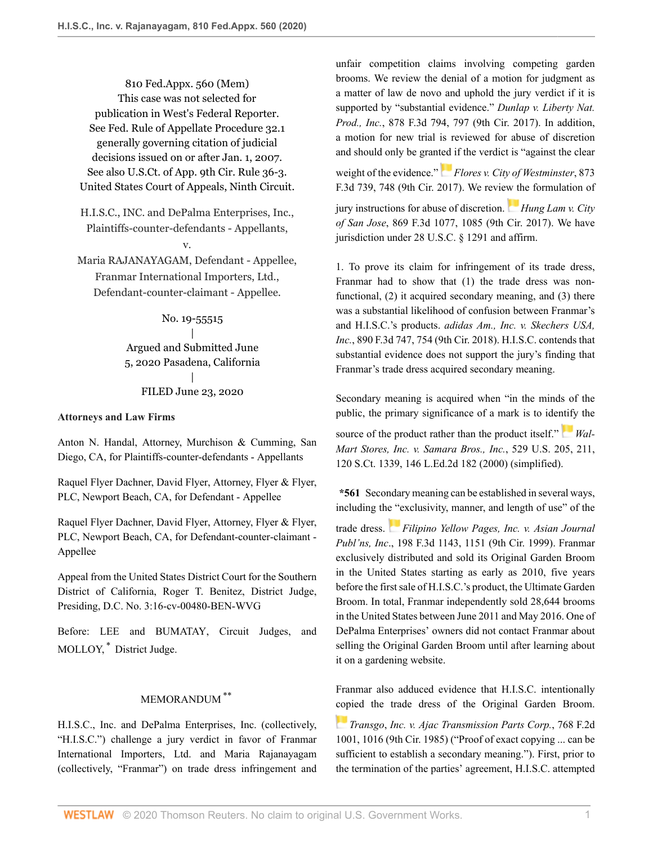810 Fed.Appx. 560 (Mem) This case was not selected for publication in West's Federal Reporter. See Fed. Rule of Appellate Procedure 32.1 generally governing citation of judicial decisions issued on or after Jan. 1, 2007. See also U.S.Ct. of App. 9th Cir. Rule 36-3. United States Court of Appeals, Ninth Circuit.

H.I.S.C., INC. and DePalma Enterprises, Inc., Plaintiffs-counter-defendants - Appellants, v.

Maria RAJANAYAGAM, Defendant - Appellee, Franmar International Importers, Ltd., Defendant-counter-claimant - Appellee.

# No. 19-55515 | Argued and Submitted June 5, 2020 Pasadena, California | FILED June 23, 2020

### **Attorneys and Law Firms**

[Anton N. Handal](http://www.westlaw.com/Link/Document/FullText?findType=h&pubNum=176284&cite=0299729001&originatingDoc=I59303ae0b5e611eabb6d82c9ad959d07&refType=RQ&originationContext=document&vr=3.0&rs=cblt1.0&transitionType=DocumentItem&contextData=(sc.Default)), Attorney, Murchison & Cumming, San Diego, CA, for Plaintiffs-counter-defendants - Appellants

Raquel Flyer Dachner, [David Flyer,](http://www.westlaw.com/Link/Document/FullText?findType=h&pubNum=176284&cite=0121323701&originatingDoc=I59303ae0b5e611eabb6d82c9ad959d07&refType=RQ&originationContext=document&vr=3.0&rs=cblt1.0&transitionType=DocumentItem&contextData=(sc.Default)) Attorney, Flyer & Flyer, PLC, Newport Beach, CA, for Defendant - Appellee

Raquel Flyer Dachner, [David Flyer,](http://www.westlaw.com/Link/Document/FullText?findType=h&pubNum=176284&cite=0121323701&originatingDoc=I59303ae0b5e611eabb6d82c9ad959d07&refType=RQ&originationContext=document&vr=3.0&rs=cblt1.0&transitionType=DocumentItem&contextData=(sc.Default)) Attorney, Flyer & Flyer, PLC, Newport Beach, CA, for Defendant-counter-claimant - Appellee

Appeal from the United States District Court for the Southern District of California, [Roger T. Benitez](http://www.westlaw.com/Link/Document/FullText?findType=h&pubNum=176284&cite=0102591601&originatingDoc=I59303ae0b5e611eabb6d82c9ad959d07&refType=RQ&originationContext=document&vr=3.0&rs=cblt1.0&transitionType=DocumentItem&contextData=(sc.Default)), District Judge, Presiding, D.C. No. 3:16-cv-00480-BEN-WVG

<span id="page-0-0"></span>Before: [LEE](http://www.westlaw.com/Link/Document/FullText?findType=h&pubNum=176284&cite=0515394301&originatingDoc=I59303ae0b5e611eabb6d82c9ad959d07&refType=RQ&originationContext=document&vr=3.0&rs=cblt1.0&transitionType=DocumentItem&contextData=(sc.Default)) and [BUMATAY,](http://www.westlaw.com/Link/Document/FullText?findType=h&pubNum=176284&cite=0518218901&originatingDoc=I59303ae0b5e611eabb6d82c9ad959d07&refType=RQ&originationContext=document&vr=3.0&rs=cblt1.0&transitionType=DocumentItem&contextData=(sc.Default)) Circuit Judges, and MOLLOY, [\\*](#page-1-0) District Judge.

## <span id="page-0-1"></span>MEMORANDUM [\\*\\*](#page-1-1)

H.I.S.C., Inc. and DePalma Enterprises, Inc. (collectively, "H.I.S.C.") challenge a jury verdict in favor of Franmar International Importers, Ltd. and Maria Rajanayagam (collectively, "Franmar") on trade dress infringement and unfair competition claims involving competing garden brooms. We review the denial of a motion for judgment as a matter of law de novo and uphold the jury verdict if it is supported by "substantial evidence." *[Dunlap v. Liberty Nat.](http://www.westlaw.com/Link/Document/FullText?findType=Y&serNum=2043492717&pubNum=0000506&originatingDoc=I59303ae0b5e611eabb6d82c9ad959d07&refType=RP&fi=co_pp_sp_506_797&originationContext=document&vr=3.0&rs=cblt1.0&transitionType=DocumentItem&contextData=(sc.Default)#co_pp_sp_506_797) Prod., Inc.*[, 878 F.3d 794, 797 \(9th Cir. 2017\).](http://www.westlaw.com/Link/Document/FullText?findType=Y&serNum=2043492717&pubNum=0000506&originatingDoc=I59303ae0b5e611eabb6d82c9ad959d07&refType=RP&fi=co_pp_sp_506_797&originationContext=document&vr=3.0&rs=cblt1.0&transitionType=DocumentItem&contextData=(sc.Default)#co_pp_sp_506_797) In addition, a motion for new trial is reviewed for abuse of discretion and should only be gran[ted i](https://1.next.westlaw.com/Link/RelatedInformation/Flag?documentGuid=Ibfa1a720aeb711e7b242b852ef84872d&transitionType=InlineKeyCiteFlags&originationContext=docHeaderFlag&Rank=0&contextData=(sc.Default) )f the verdict is "against the clear weight of the evidence." *[Flores v. City of Westminster](http://www.westlaw.com/Link/Document/FullText?findType=Y&serNum=2042860416&pubNum=0000506&originatingDoc=I59303ae0b5e611eabb6d82c9ad959d07&refType=RP&fi=co_pp_sp_506_748&originationContext=document&vr=3.0&rs=cblt1.0&transitionType=DocumentItem&contextData=(sc.Default)#co_pp_sp_506_748)*, 873 [F.3d 739, 748 \(9th Cir. 2017\)](http://www.westlaw.com/Link/Document/FullText?findType=Y&serNum=2042860416&pubNum=0000506&originatingDoc=I59303ae0b5e611eabb6d82c9ad959d07&refType=RP&fi=co_pp_sp_506_748&originationContext=document&vr=3.0&rs=cblt1.0&transitionType=DocumentItem&contextData=(sc.Default)#co_pp_sp_506_748). We revie[w th](https://1.next.westlaw.com/Link/RelatedInformation/Flag?documentGuid=I52cdf230925a11e792fdd763512bbe26&transitionType=InlineKeyCiteFlags&originationContext=docHeaderFlag&Rank=0&contextData=(sc.Default) )e formulation of jury instructions for abuse of discretion. *[Hung Lam v. City](http://www.westlaw.com/Link/Document/FullText?findType=Y&serNum=2042530645&pubNum=0000506&originatingDoc=I59303ae0b5e611eabb6d82c9ad959d07&refType=RP&fi=co_pp_sp_506_1085&originationContext=document&vr=3.0&rs=cblt1.0&transitionType=DocumentItem&contextData=(sc.Default)#co_pp_sp_506_1085) of San Jose*[, 869 F.3d 1077, 1085 \(9th Cir. 2017\).](http://www.westlaw.com/Link/Document/FullText?findType=Y&serNum=2042530645&pubNum=0000506&originatingDoc=I59303ae0b5e611eabb6d82c9ad959d07&refType=RP&fi=co_pp_sp_506_1085&originationContext=document&vr=3.0&rs=cblt1.0&transitionType=DocumentItem&contextData=(sc.Default)#co_pp_sp_506_1085) We have jurisdiction under [28 U.S.C. § 1291](http://www.westlaw.com/Link/Document/FullText?findType=L&pubNum=1000546&cite=28USCAS1291&originatingDoc=I59303ae0b5e611eabb6d82c9ad959d07&refType=LQ&originationContext=document&vr=3.0&rs=cblt1.0&transitionType=DocumentItem&contextData=(sc.Default)) and affirm.

1. To prove its claim for infringement of its trade dress, Franmar had to show that (1) the trade dress was nonfunctional, (2) it acquired secondary meaning, and (3) there was a substantial likelihood of confusion between Franmar's and H.I.S.C.'s products. *[adidas Am., Inc. v. Skechers USA,](http://www.westlaw.com/Link/Document/FullText?findType=Y&serNum=2044505189&pubNum=0000506&originatingDoc=I59303ae0b5e611eabb6d82c9ad959d07&refType=RP&fi=co_pp_sp_506_754&originationContext=document&vr=3.0&rs=cblt1.0&transitionType=DocumentItem&contextData=(sc.Default)#co_pp_sp_506_754) Inc.*[, 890 F.3d 747, 754 \(9th Cir. 2018\)](http://www.westlaw.com/Link/Document/FullText?findType=Y&serNum=2044505189&pubNum=0000506&originatingDoc=I59303ae0b5e611eabb6d82c9ad959d07&refType=RP&fi=co_pp_sp_506_754&originationContext=document&vr=3.0&rs=cblt1.0&transitionType=DocumentItem&contextData=(sc.Default)#co_pp_sp_506_754). H.I.S.C. contends that substantial evidence does not support the jury's finding that Franmar's trade dress acquired secondary meaning.

Secondary meaning is acquired when "in the minds of the public, the primary significance of a mark is to ide[ntify](https://1.next.westlaw.com/Link/RelatedInformation/Flag?documentGuid=I6b33cc219c2511d9bc61beebb95be672&transitionType=InlineKeyCiteFlags&originationContext=docHeaderFlag&Rank=0&contextData=(sc.Default) ) the source of the product rather than the product itself." *[Wal-](http://www.westlaw.com/Link/Document/FullText?findType=Y&serNum=2000080477&pubNum=0000780&originatingDoc=I59303ae0b5e611eabb6d82c9ad959d07&refType=RP&fi=co_pp_sp_780_211&originationContext=document&vr=3.0&rs=cblt1.0&transitionType=DocumentItem&contextData=(sc.Default)#co_pp_sp_780_211)[Mart Stores, Inc. v. Samara Bros., Inc.](http://www.westlaw.com/Link/Document/FullText?findType=Y&serNum=2000080477&pubNum=0000780&originatingDoc=I59303ae0b5e611eabb6d82c9ad959d07&refType=RP&fi=co_pp_sp_780_211&originationContext=document&vr=3.0&rs=cblt1.0&transitionType=DocumentItem&contextData=(sc.Default)#co_pp_sp_780_211)*, 529 U.S. 205, 211, [120 S.Ct. 1339, 146 L.Ed.2d 182 \(2000\)](http://www.westlaw.com/Link/Document/FullText?findType=Y&serNum=2000080477&pubNum=0000780&originatingDoc=I59303ae0b5e611eabb6d82c9ad959d07&refType=RP&fi=co_pp_sp_780_211&originationContext=document&vr=3.0&rs=cblt1.0&transitionType=DocumentItem&contextData=(sc.Default)#co_pp_sp_780_211) (simplified).

**\*561** Secondary meaning can be established in several ways, including th[e "e](https://1.next.westlaw.com/Link/RelatedInformation/Flag?documentGuid=I2863740894b811d9bdd1cfdd544ca3a4&transitionType=InlineKeyCiteFlags&originationContext=docHeaderFlag&Rank=0&contextData=(sc.Default) )xclusivity, manner, and length of use" of the

trade dress. *[Filipino Yellow Pages, Inc. v. Asian Journal](http://www.westlaw.com/Link/Document/FullText?findType=Y&serNum=1999266585&pubNum=0000506&originatingDoc=I59303ae0b5e611eabb6d82c9ad959d07&refType=RP&fi=co_pp_sp_506_1151&originationContext=document&vr=3.0&rs=cblt1.0&transitionType=DocumentItem&contextData=(sc.Default)#co_pp_sp_506_1151) Publ'ns, Inc*[., 198 F.3d 1143, 1151 \(9th Cir. 1999\).](http://www.westlaw.com/Link/Document/FullText?findType=Y&serNum=1999266585&pubNum=0000506&originatingDoc=I59303ae0b5e611eabb6d82c9ad959d07&refType=RP&fi=co_pp_sp_506_1151&originationContext=document&vr=3.0&rs=cblt1.0&transitionType=DocumentItem&contextData=(sc.Default)#co_pp_sp_506_1151) Franmar exclusively distributed and sold its Original Garden Broom in the United States starting as early as 2010, five years before the first sale of H.I.S.C.'s product, the Ultimate Garden Broom. In total, Franmar independently sold 28,644 brooms in the United States between June 2011 and May 2016. One of DePalma Enterprises' owners did not contact Franmar about selling the Original Garden Broom until after learning about it on a gardening website.

Franmar also adduced evidence that H.I.S.C. intentionally [cop](https://1.next.westlaw.com/Link/RelatedInformation/Flag?documentGuid=Ibf2f57d18b9111d98aaaa007097b7893&transitionType=InlineKeyCiteFlags&originationContext=docHeaderFlag&Rank=0&contextData=(sc.Default) )ied the trade dress of the Original Garden Broom.

*Transgo*, *[Inc. v. Ajac Transmission Parts Corp.](http://www.westlaw.com/Link/Document/FullText?findType=Y&serNum=1985103095&pubNum=0000350&originatingDoc=I59303ae0b5e611eabb6d82c9ad959d07&refType=RP&fi=co_pp_sp_350_1016&originationContext=document&vr=3.0&rs=cblt1.0&transitionType=DocumentItem&contextData=(sc.Default)#co_pp_sp_350_1016)*, 768 F.2d [1001, 1016 \(9th Cir. 1985\)](http://www.westlaw.com/Link/Document/FullText?findType=Y&serNum=1985103095&pubNum=0000350&originatingDoc=I59303ae0b5e611eabb6d82c9ad959d07&refType=RP&fi=co_pp_sp_350_1016&originationContext=document&vr=3.0&rs=cblt1.0&transitionType=DocumentItem&contextData=(sc.Default)#co_pp_sp_350_1016) ("Proof of exact copying ... can be sufficient to establish a secondary meaning."). First, prior to the termination of the parties' agreement, H.I.S.C. attempted